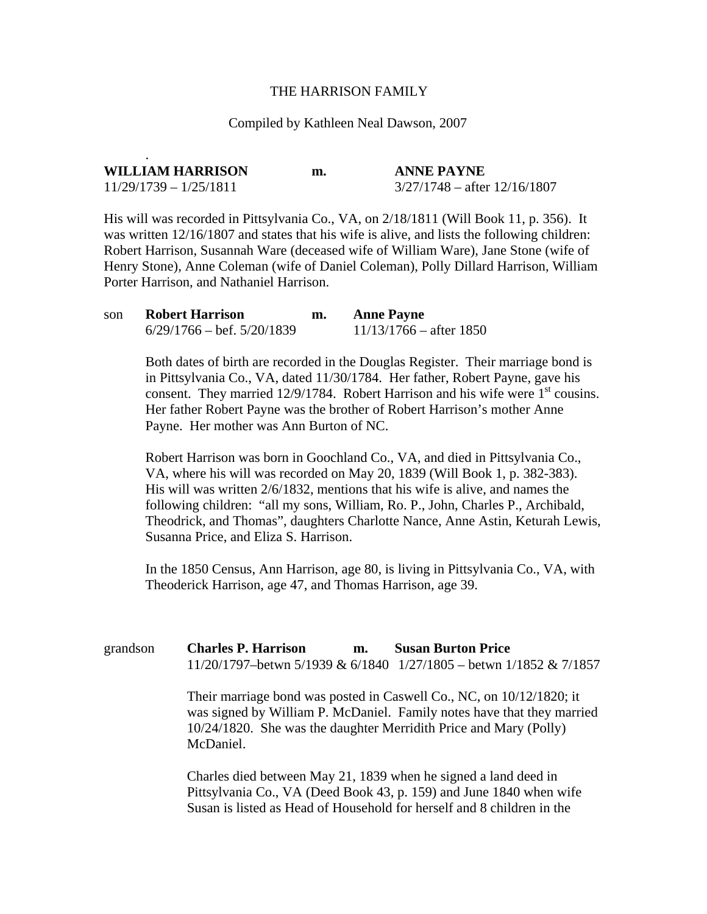## THE HARRISON FAMILY

## Compiled by Kathleen Neal Dawson, 2007

| <b>WILLIAM HARRISON</b>  | m. | <b>ANNE PAYNE</b>              |
|--------------------------|----|--------------------------------|
| $11/29/1739 - 1/25/1811$ |    | $3/27/1748$ – after 12/16/1807 |

His will was recorded in Pittsylvania Co., VA, on 2/18/1811 (Will Book 11, p. 356). It was written  $12/16/1807$  and states that his wife is alive, and lists the following children: Robert Harrison, Susannah Ware (deceased wife of William Ware), Jane Stone (wife of Henry Stone), Anne Coleman (wife of Daniel Coleman), Polly Dillard Harrison, William Porter Harrison, and Nathaniel Harrison.

| son | <b>Robert Harrison</b>               | m. | <b>Anne Payne</b>         |
|-----|--------------------------------------|----|---------------------------|
|     | $6/29/1766 - \text{bef. } 5/20/1839$ |    | $11/13/1766$ – after 1850 |

.

Both dates of birth are recorded in the Douglas Register. Their marriage bond is in Pittsylvania Co., VA, dated 11/30/1784. Her father, Robert Payne, gave his consent. They married  $12/9/1784$ . Robert Harrison and his wife were  $1<sup>st</sup>$  cousins. Her father Robert Payne was the brother of Robert Harrison's mother Anne Payne. Her mother was Ann Burton of NC.

Robert Harrison was born in Goochland Co., VA, and died in Pittsylvania Co., VA, where his will was recorded on May 20, 1839 (Will Book 1, p. 382-383). His will was written 2/6/1832, mentions that his wife is alive, and names the following children: "all my sons, William, Ro. P., John, Charles P., Archibald, Theodrick, and Thomas", daughters Charlotte Nance, Anne Astin, Keturah Lewis, Susanna Price, and Eliza S. Harrison.

In the 1850 Census, Ann Harrison, age 80, is living in Pittsylvania Co., VA, with Theoderick Harrison, age 47, and Thomas Harrison, age 39.

| grandson | <b>Charles P. Harrison</b><br><b>Susan Burton Price</b><br>m.                                                                                                                                                                       |
|----------|-------------------------------------------------------------------------------------------------------------------------------------------------------------------------------------------------------------------------------------|
|          | 11/20/1797-betwn 5/1939 & 6/1840 $1/27/1805$ - betwn 1/1852 & 7/1857                                                                                                                                                                |
|          | Their marriage bond was posted in Caswell Co., NC, on $10/12/1820$ ; it<br>was signed by William P. McDaniel. Family notes have that they married<br>10/24/1820. She was the daughter Merridith Price and Mary (Polly)<br>McDaniel. |
|          | Charles died between May 21, 1839 when he signed a land deed in                                                                                                                                                                     |

Pittsylvania Co., VA (Deed Book 43, p. 159) and June 1840 when wife Susan is listed as Head of Household for herself and 8 children in the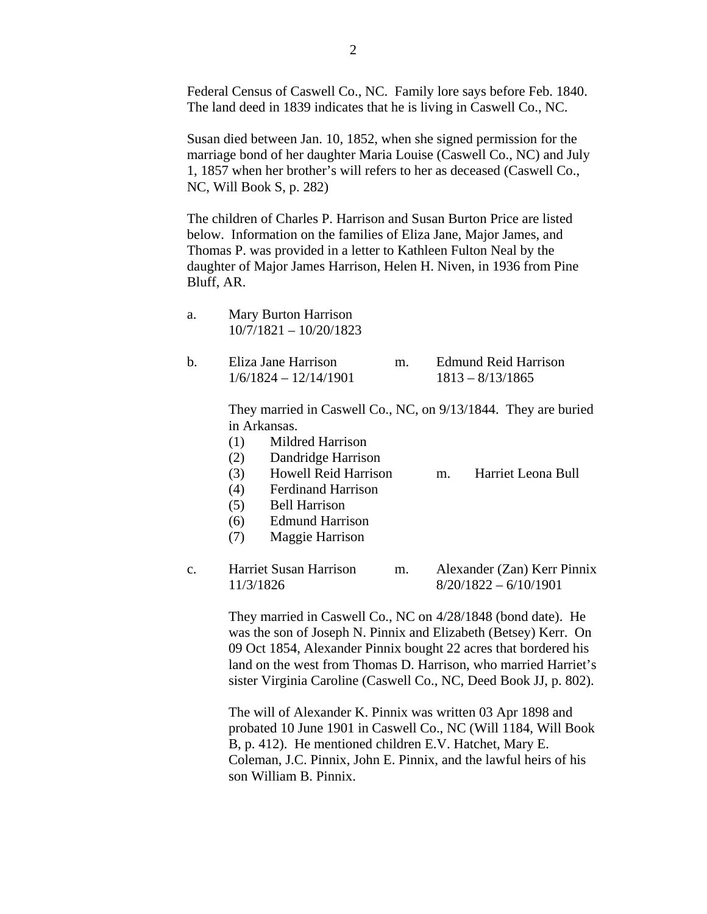Federal Census of Caswell Co., NC. Family lore says before Feb. 1840. The land deed in 1839 indicates that he is living in Caswell Co., NC.

Susan died between Jan. 10, 1852, when she signed permission for the marriage bond of her daughter Maria Louise (Caswell Co., NC) and July 1, 1857 when her brother's will refers to her as deceased (Caswell Co., NC, Will Book S, p. 282)

The children of Charles P. Harrison and Susan Burton Price are listed below. Information on the families of Eliza Jane, Major James, and Thomas P. was provided in a letter to Kathleen Fulton Neal by the daughter of Major James Harrison, Helen H. Niven, in 1936 from Pine Bluff, AR.

| a.             | Mary Burton Harrison<br>$10/7/1821 - 10/20/1823$                                                                                                                                                                                                                                                                                                                                                   |
|----------------|----------------------------------------------------------------------------------------------------------------------------------------------------------------------------------------------------------------------------------------------------------------------------------------------------------------------------------------------------------------------------------------------------|
| b.             | Eliza Jane Harrison<br><b>Edmund Reid Harrison</b><br>m.<br>$1/6/1824 - 12/14/1901$<br>$1813 - 8/13/1865$                                                                                                                                                                                                                                                                                          |
|                | They married in Caswell Co., NC, on 9/13/1844. They are buried<br>in Arkansas.<br>(1)<br>Mildred Harrison<br>Dandridge Harrison<br>(2)<br>(3)<br><b>Howell Reid Harrison</b><br>Harriet Leona Bull<br>m.<br>(4)<br><b>Ferdinand Harrison</b><br><b>Bell Harrison</b><br>(5)<br><b>Edmund Harrison</b><br>(6)<br>Maggie Harrison<br>(7)                                                             |
| $\mathbf{c}$ . | <b>Harriet Susan Harrison</b><br>Alexander (Zan) Kerr Pinnix<br>m.<br>$8/20/1822 - 6/10/1901$<br>11/3/1826                                                                                                                                                                                                                                                                                         |
|                | They married in Caswell Co., NC on 4/28/1848 (bond date). He<br>$\mathbf{A}$ $\mathbf{A}$ $\mathbf{A}$ $\mathbf{A}$ $\mathbf{A}$ $\mathbf{A}$ $\mathbf{A}$ $\mathbf{A}$ $\mathbf{A}$ $\mathbf{A}$ $\mathbf{A}$ $\mathbf{A}$ $\mathbf{A}$ $\mathbf{A}$ $\mathbf{A}$ $\mathbf{A}$ $\mathbf{A}$ $\mathbf{A}$ $\mathbf{A}$ $\mathbf{A}$ $\mathbf{A}$ $\mathbf{A}$ $\mathbf{A}$ $\mathbf{A}$ $\mathbf{$ |

was the son of Joseph N. Pinnix and Elizabeth (Betsey) Kerr. On 09 Oct 1854, Alexander Pinnix bought 22 acres that bordered his land on the west from Thomas D. Harrison, who married Harriet's sister Virginia Caroline (Caswell Co., NC, Deed Book JJ, p. 802).

The will of Alexander K. Pinnix was written 03 Apr 1898 and probated 10 June 1901 in Caswell Co., NC (Will 1184, Will Book B, p. 412). He mentioned children E.V. Hatchet, Mary E. Coleman, J.C. Pinnix, John E. Pinnix, and the lawful heirs of his son William B. Pinnix.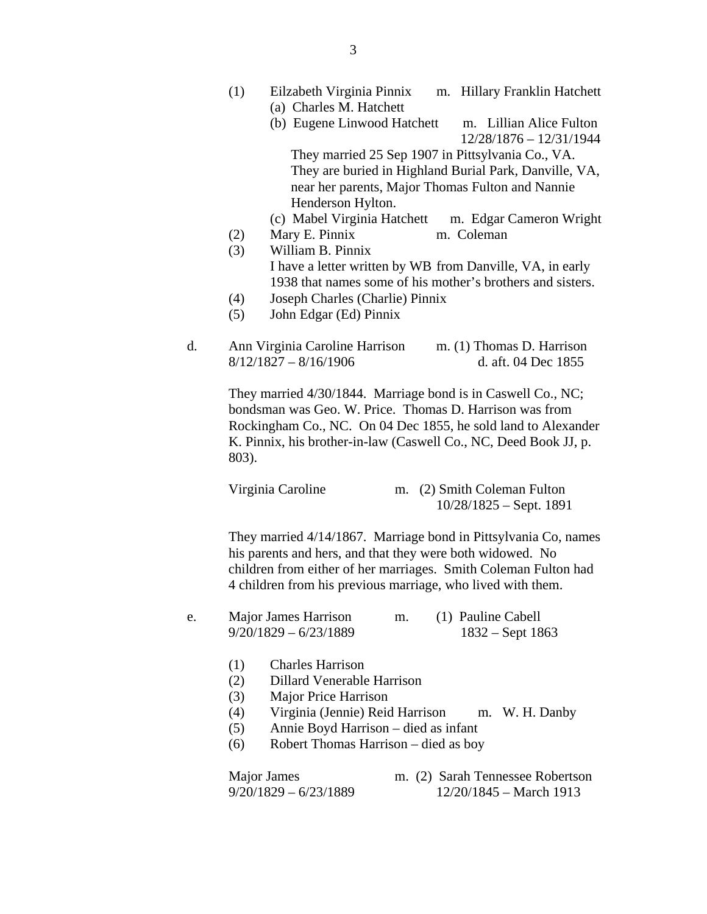- (1) Eilzabeth Virginia Pinnix m. Hillary Franklin Hatchett (a) Charles M. Hatchett
	- (b) Eugene Linwood Hatchett m. Lillian Alice Fulton 12/28/1876 – 12/31/1944

They married 25 Sep 1907 in Pittsylvania Co., VA. They are buried in Highland Burial Park, Danville, VA, near her parents, Major Thomas Fulton and Nannie Henderson Hylton.

- (c) Mabel Virginia Hatchett m. Edgar Cameron Wright
- (2) Mary E. Pinnix m. Coleman
- (3) William B. Pinnix I have a letter written by WB from Danville, VA, in early 1938 that names some of his mother's brothers and sisters.
- (4) Joseph Charles (Charlie) Pinnix
- (5) John Edgar (Ed) Pinnix
- d. Ann Virginia Caroline Harrison m. (1) Thomas D. Harrison 8/12/1827 – 8/16/1906 d. aft. 04 Dec 1855

They married 4/30/1844. Marriage bond is in Caswell Co., NC; bondsman was Geo. W. Price. Thomas D. Harrison was from Rockingham Co., NC. On 04 Dec 1855, he sold land to Alexander K. Pinnix, his brother-in-law (Caswell Co., NC, Deed Book JJ, p. 803).

| Virginia Caroline | m. (2) Smith Coleman Fulton |
|-------------------|-----------------------------|
|                   | $10/28/1825$ – Sept. 1891   |

They married 4/14/1867. Marriage bond in Pittsylvania Co, names his parents and hers, and that they were both widowed. No children from either of her marriages. Smith Coleman Fulton had 4 children from his previous marriage, who lived with them.

- e. Major James Harrison m. (1) Pauline Cabell 9/20/1829 – 6/23/1889 1832 – Sept 1863
	- (1) Charles Harrison
	- (2) Dillard Venerable Harrison
	- (3) Major Price Harrison
	- (4) Virginia (Jennie) Reid Harrison m. W. H. Danby
	- (5) Annie Boyd Harrison died as infant
	- (6) Robert Thomas Harrison died as boy

 Major James m. (2) Sarah Tennessee Robertson 9/20/1829 – 6/23/1889 12/20/1845 – March 1913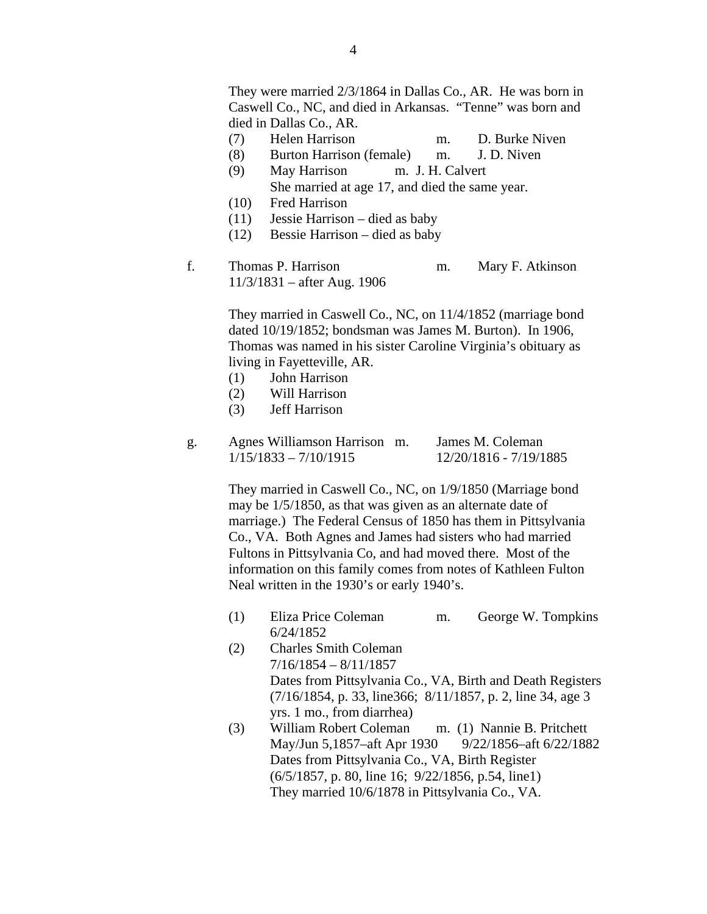- (7) Helen Harrison m. D. Burke Niven
- (8) Burton Harrison (female) m. J. D. Niven
- (9) May Harrison m. J. H. Calvert She married at age 17, and died the same year.
- (10) Fred Harrison
- (11) Jessie Harrison died as baby
- (12) Bessie Harrison died as baby
- f. Thomas P. Harrison m. Mary F. Atkinson 11/3/1831 – after Aug. 1906

They married in Caswell Co., NC, on 11/4/1852 (marriage bond dated 10/19/1852; bondsman was James M. Burton). In 1906, Thomas was named in his sister Caroline Virginia's obituary as living in Fayetteville, AR.

- (1) John Harrison
- (2) Will Harrison
- (3) Jeff Harrison

| Agnes Williamson Harrison m. | James M. Coleman       |
|------------------------------|------------------------|
| $1/15/1833 - 7/10/1915$      | 12/20/1816 - 7/19/1885 |

They married in Caswell Co., NC, on 1/9/1850 (Marriage bond may be 1/5/1850, as that was given as an alternate date of marriage.) The Federal Census of 1850 has them in Pittsylvania Co., VA. Both Agnes and James had sisters who had married Fultons in Pittsylvania Co, and had moved there. Most of the information on this family comes from notes of Kathleen Fulton Neal written in the 1930's or early 1940's.

- (1) Eliza Price Coleman m. George W. Tompkins 6/24/1852
- (2) Charles Smith Coleman 7/16/1854 – 8/11/1857 Dates from Pittsylvania Co., VA, Birth and Death Registers (7/16/1854, p. 33, line366; 8/11/1857, p. 2, line 34, age 3 yrs. 1 mo., from diarrhea)
- (3) William Robert Coleman m. (1) Nannie B. Pritchett May/Jun 5,1857–aft Apr 1930 9/22/1856–aft 6/22/1882 Dates from Pittsylvania Co., VA, Birth Register (6/5/1857, p. 80, line 16; 9/22/1856, p.54, line1) They married 10/6/1878 in Pittsylvania Co., VA.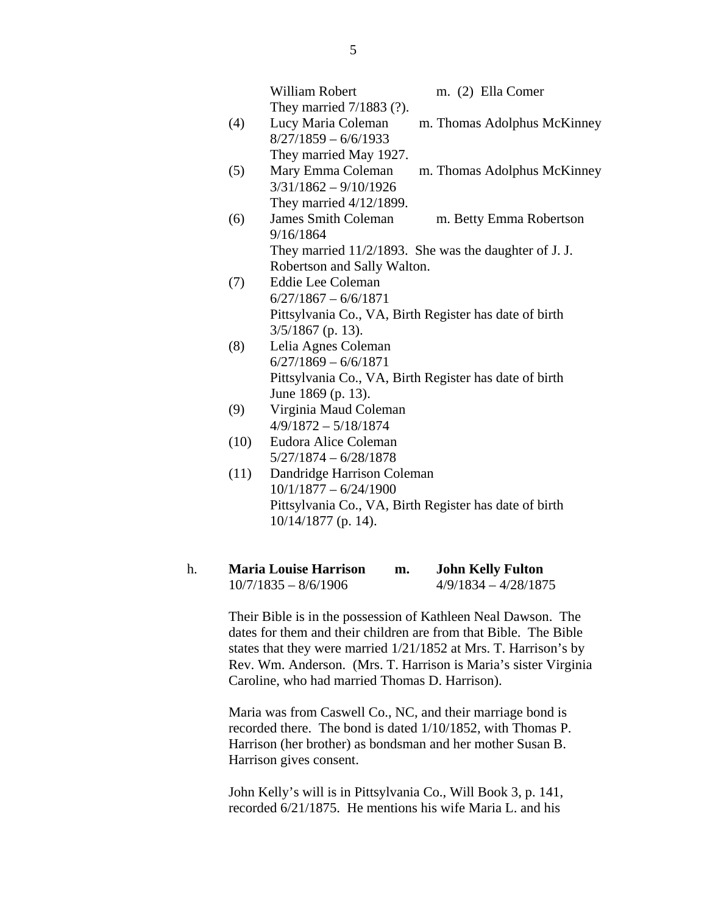|      | William Robert                                         | m. (2) Ella Comer           |
|------|--------------------------------------------------------|-----------------------------|
|      | They married 7/1883 (?).                               |                             |
| (4)  | Lucy Maria Coleman                                     | m. Thomas Adolphus McKinney |
|      | $8/27/1859 - 6/6/1933$                                 |                             |
|      | They married May 1927.                                 |                             |
| (5)  | Mary Emma Coleman                                      | m. Thomas Adolphus McKinney |
|      | $3/31/1862 - 9/10/1926$                                |                             |
|      | They married $4/12/1899$ .                             |                             |
| (6)  | <b>James Smith Coleman</b>                             | m. Betty Emma Robertson     |
|      | 9/16/1864                                              |                             |
|      | They married 11/2/1893. She was the daughter of J. J.  |                             |
|      | Robertson and Sally Walton.                            |                             |
| (7)  | Eddie Lee Coleman                                      |                             |
|      | $6/27/1867 - 6/6/1871$                                 |                             |
|      | Pittsylvania Co., VA, Birth Register has date of birth |                             |
|      | $3/5/1867$ (p. 13).                                    |                             |
| (8)  | Lelia Agnes Coleman                                    |                             |
|      | $6/27/1869 - 6/6/1871$                                 |                             |
|      | Pittsylvania Co., VA, Birth Register has date of birth |                             |
|      | June 1869 (p. 13).                                     |                             |
| (9)  | Virginia Maud Coleman                                  |                             |
|      | $4/9/1872 - 5/18/1874$                                 |                             |
| (10) | Eudora Alice Coleman                                   |                             |
|      | $5/27/1874 - 6/28/1878$                                |                             |
| (11) | Dandridge Harrison Coleman                             |                             |
|      | $10/1/1877 - 6/24/1900$                                |                             |
|      | Pittsylvania Co., VA, Birth Register has date of birth |                             |
|      | $10/14/1877$ (p. 14).                                  |                             |

| <b>Maria Louise Harrison</b> | m. | <b>John Kelly Fulton</b> |
|------------------------------|----|--------------------------|
| $10/7/1835 - 8/6/1906$       |    | $4/9/1834 - 4/28/1875$   |

Their Bible is in the possession of Kathleen Neal Dawson. The dates for them and their children are from that Bible. The Bible states that they were married 1/21/1852 at Mrs. T. Harrison's by Rev. Wm. Anderson. (Mrs. T. Harrison is Maria's sister Virginia Caroline, who had married Thomas D. Harrison).

Maria was from Caswell Co., NC, and their marriage bond is recorded there. The bond is dated 1/10/1852, with Thomas P. Harrison (her brother) as bondsman and her mother Susan B. Harrison gives consent.

John Kelly's will is in Pittsylvania Co., Will Book 3, p. 141, recorded 6/21/1875. He mentions his wife Maria L. and his